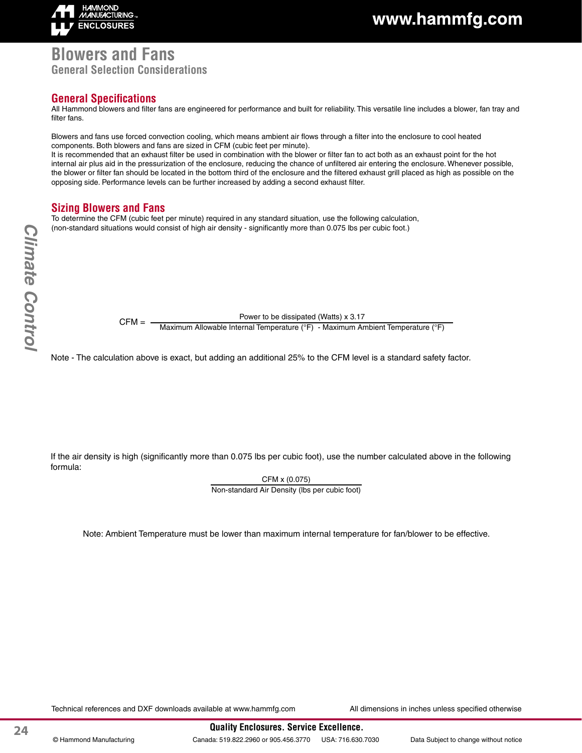

## www.hammfg.com

### **Blowers and Fans General Selection Considerations**

### **General Specifications**

All Hammond blowers and filter fans are engineered for performance and built for reliability. This versatile line includes a blower, fan tray and filter fans.

Blowers and fans use forced convection cooling, which means ambient air flows through a filter into the enclosure to cool heated components. Both blowers and fans are sized in CFM (cubic feet per minute).

It is recommended that an exhaust filter be used in combination with the blower or filter fan to act both as an exhaust point for the hot internal air plus aid in the pressurization of the enclosure, reducing the chance of unfiltered air entering the enclosure. Whenever possible, the blower or filter fan should be located in the bottom third of the enclosure and the filtered exhaust grill placed as high as possible on the opposing side. Performance levels can be further increased by adding a second exhaust filter.

#### **Sizing Blowers and Fans**

To determine the CFM (cubic feet per minute) required in any standard situation, use the following calculation, (non-standard situations would consist of high air density - significantly more than 0.075 lbs per cubic foot.)

Power to be dissipated (Watts) x 3.17

CFM = — Maximum Allowable Internal Temperature (°F) - Maximum Ambient Temperature (°F)

Note - The calculation above is exact, but adding an additional 25% to the CFM level is a standard safety factor.

If the air density is high (significantly more than 0.075 lbs per cubic foot), use the number calculated above in the following formula:

> CFM x (0.075) Non-standard Air Density (lbs per cubic foot)

Note: Ambient Temperature must be lower than maximum internal temperature for fan/blower to be effective.

Technical references and DXF downloads available at www.hammfg.com All dimensions in inches unless specified otherwise

24